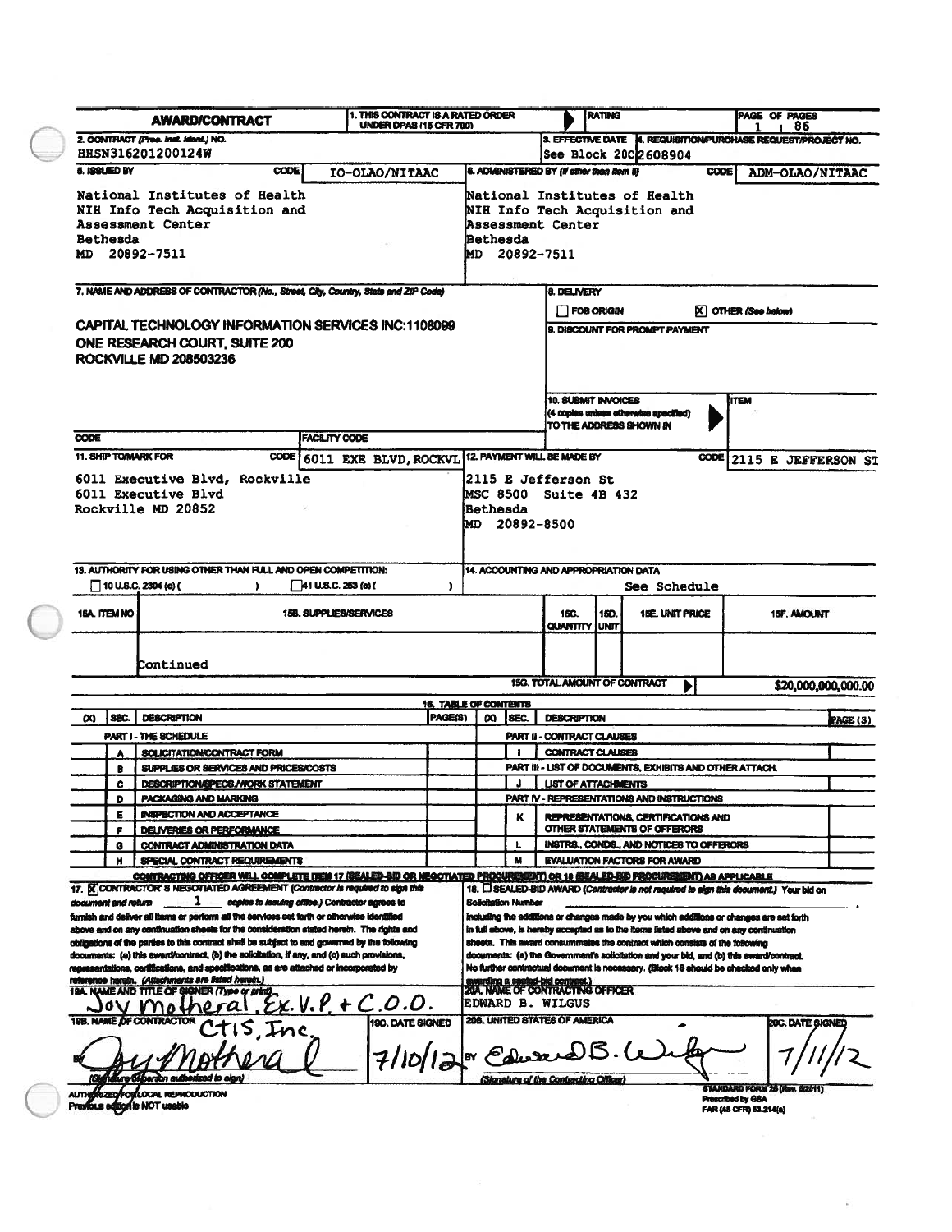|                                                                                                                       |                                                                                    | <b>AWARD/CONTRACT</b>                                                                                                                                                                                                                                                                                                                                                                                                                                                                                                                                                                                                                                                                                                                                                                                                                                        | UNDER DPAS (15 CFR 700)                                                                             | 1. THIS CONTRACT IS A RATED ORDER       |                     |                                                                              |                                                                                                                  | <b>RATING</b> |                                                                             |             | PAGE OF PAGES<br>, 86                                                                                                                                                                                                                                                                                                                                                                                                                                                             |                                 |  |
|-----------------------------------------------------------------------------------------------------------------------|------------------------------------------------------------------------------------|--------------------------------------------------------------------------------------------------------------------------------------------------------------------------------------------------------------------------------------------------------------------------------------------------------------------------------------------------------------------------------------------------------------------------------------------------------------------------------------------------------------------------------------------------------------------------------------------------------------------------------------------------------------------------------------------------------------------------------------------------------------------------------------------------------------------------------------------------------------|-----------------------------------------------------------------------------------------------------|-----------------------------------------|---------------------|------------------------------------------------------------------------------|------------------------------------------------------------------------------------------------------------------|---------------|-----------------------------------------------------------------------------|-------------|-----------------------------------------------------------------------------------------------------------------------------------------------------------------------------------------------------------------------------------------------------------------------------------------------------------------------------------------------------------------------------------------------------------------------------------------------------------------------------------|---------------------------------|--|
|                                                                                                                       |                                                                                    | 2. CONTRACT (Proc. Inst. Ident.) NO.                                                                                                                                                                                                                                                                                                                                                                                                                                                                                                                                                                                                                                                                                                                                                                                                                         |                                                                                                     |                                         |                     |                                                                              | 3. EFFECTIVE DATE A. REQUISITION/PURCHASE REQUEST/PROJECT NO.                                                    |               |                                                                             |             |                                                                                                                                                                                                                                                                                                                                                                                                                                                                                   |                                 |  |
|                                                                                                                       | <b>HHSN316201200124W</b>                                                           |                                                                                                                                                                                                                                                                                                                                                                                                                                                                                                                                                                                                                                                                                                                                                                                                                                                              |                                                                                                     |                                         |                     |                                                                              | See Block 20C2608904                                                                                             |               |                                                                             |             |                                                                                                                                                                                                                                                                                                                                                                                                                                                                                   |                                 |  |
|                                                                                                                       | <b>5. ISSUED BY</b><br><b>CODE</b><br>IO-OLAO/NITAAC                               |                                                                                                                                                                                                                                                                                                                                                                                                                                                                                                                                                                                                                                                                                                                                                                                                                                                              |                                                                                                     |                                         |                     |                                                                              | 6. ADMINISTERED BY (if other than item 5)                                                                        |               |                                                                             | <b>CODE</b> | ADM-OLAO/NITAAC                                                                                                                                                                                                                                                                                                                                                                                                                                                                   |                                 |  |
| <b>Bethesda</b>                                                                                                       |                                                                                    | National Institutes of Health<br>NIH Info Tech Acquisition and<br>Assessment Center<br>MD 20892-7511                                                                                                                                                                                                                                                                                                                                                                                                                                                                                                                                                                                                                                                                                                                                                         |                                                                                                     |                                         | Bethesda            |                                                                              | National Institutes of Health<br>NIH Info Tech Acquisition and<br>Assessment Center<br>MD 20892-7511             |               |                                                                             |             |                                                                                                                                                                                                                                                                                                                                                                                                                                                                                   |                                 |  |
|                                                                                                                       | 7. NAME AND ADDRESS OF CONTRACTOR (No., Street, City, Country, State and ZIP Code) |                                                                                                                                                                                                                                                                                                                                                                                                                                                                                                                                                                                                                                                                                                                                                                                                                                                              |                                                                                                     |                                         |                     |                                                                              | 8. DELIVERY                                                                                                      |               |                                                                             |             |                                                                                                                                                                                                                                                                                                                                                                                                                                                                                   |                                 |  |
| CAPITAL TECHNOLOGY INFORMATION SERVICES INC:1108099<br>ONE RESEARCH COURT, SUITE 200<br><b>ROCKVILLE MD 208503236</b> |                                                                                    |                                                                                                                                                                                                                                                                                                                                                                                                                                                                                                                                                                                                                                                                                                                                                                                                                                                              |                                                                                                     |                                         |                     |                                                                              | $\mathsf{\overline{X}}$ OTHER (See below)<br>$\Box$ FOB ORIGIN<br>9. DISCOUNT FOR PROMPT PAYMENT                 |               |                                                                             |             |                                                                                                                                                                                                                                                                                                                                                                                                                                                                                   |                                 |  |
|                                                                                                                       |                                                                                    |                                                                                                                                                                                                                                                                                                                                                                                                                                                                                                                                                                                                                                                                                                                                                                                                                                                              |                                                                                                     |                                         |                     |                                                                              | <b>10. SUBMIT INVOICES</b><br>(4 copies unless otherwise specified)<br>TO THE ADDRESS SHOWN IN                   |               |                                                                             | <b>ITEM</b> |                                                                                                                                                                                                                                                                                                                                                                                                                                                                                   |                                 |  |
| <b>CODE</b>                                                                                                           |                                                                                    |                                                                                                                                                                                                                                                                                                                                                                                                                                                                                                                                                                                                                                                                                                                                                                                                                                                              | <b>FACILITY CODE</b>                                                                                |                                         |                     |                                                                              |                                                                                                                  |               |                                                                             |             |                                                                                                                                                                                                                                                                                                                                                                                                                                                                                   |                                 |  |
| 11. SHIP TOMARK FOR<br><b>CODE</b>                                                                                    |                                                                                    |                                                                                                                                                                                                                                                                                                                                                                                                                                                                                                                                                                                                                                                                                                                                                                                                                                                              | 6011 EXE BLVD, ROCKVL                                                                               |                                         |                     |                                                                              | 12. PAYMENT WILL BE MADE BY                                                                                      |               |                                                                             |             | CODE 2115 E JEFFERSON ST                                                                                                                                                                                                                                                                                                                                                                                                                                                          |                                 |  |
|                                                                                                                       |                                                                                    | 6011 Executive Blvd, Rockville<br>6011 Executive Blvd<br>Rockville MD 20852                                                                                                                                                                                                                                                                                                                                                                                                                                                                                                                                                                                                                                                                                                                                                                                  |                                                                                                     | Bethesda                                |                     | <b>2115 E Jefferson St</b><br><b>IMSC 8500 Suite 4B 432</b><br>MD 20892-8500 |                                                                                                                  |               |                                                                             |             |                                                                                                                                                                                                                                                                                                                                                                                                                                                                                   |                                 |  |
|                                                                                                                       |                                                                                    | 13. AUTHORITY FOR USING OTHER THAN FULL AND OPEN COMPETITION:                                                                                                                                                                                                                                                                                                                                                                                                                                                                                                                                                                                                                                                                                                                                                                                                |                                                                                                     |                                         |                     |                                                                              | 14. ACCOUNTING AND APPROPRIATION DATA                                                                            |               |                                                                             |             |                                                                                                                                                                                                                                                                                                                                                                                                                                                                                   |                                 |  |
|                                                                                                                       | $\Box$ 10 U.S.C. 2304 (c) (<br>$\sqrt{41}$ U.S.C. 263 (c) (<br>ı.<br>J.            |                                                                                                                                                                                                                                                                                                                                                                                                                                                                                                                                                                                                                                                                                                                                                                                                                                                              |                                                                                                     |                                         |                     | <b>See Schedule</b>                                                          |                                                                                                                  |               |                                                                             |             |                                                                                                                                                                                                                                                                                                                                                                                                                                                                                   |                                 |  |
| 15A. ITEM NO                                                                                                          |                                                                                    |                                                                                                                                                                                                                                                                                                                                                                                                                                                                                                                                                                                                                                                                                                                                                                                                                                                              | 15B. SUPPLIES/SERVICES                                                                              |                                         |                     |                                                                              |                                                                                                                  |               |                                                                             |             |                                                                                                                                                                                                                                                                                                                                                                                                                                                                                   |                                 |  |
|                                                                                                                       |                                                                                    |                                                                                                                                                                                                                                                                                                                                                                                                                                                                                                                                                                                                                                                                                                                                                                                                                                                              |                                                                                                     |                                         |                     |                                                                              | 15C.<br><b>QUANTITY JUNIT</b>                                                                                    | <b>15D.</b>   | <b>1BE UNIT PRICE</b>                                                       |             | <b>15F. AMOUNT</b>                                                                                                                                                                                                                                                                                                                                                                                                                                                                |                                 |  |
|                                                                                                                       |                                                                                    | Continued                                                                                                                                                                                                                                                                                                                                                                                                                                                                                                                                                                                                                                                                                                                                                                                                                                                    |                                                                                                     |                                         |                     |                                                                              | 15G. TOTAL AMOUNT OF CONTRACT                                                                                    |               |                                                                             | ▶           |                                                                                                                                                                                                                                                                                                                                                                                                                                                                                   |                                 |  |
| ೲ                                                                                                                     | SEC.                                                                               | <b>DESCRIPTION</b>                                                                                                                                                                                                                                                                                                                                                                                                                                                                                                                                                                                                                                                                                                                                                                                                                                           |                                                                                                     | <b>16. TABLE OF CONTENTS</b><br>PAGE(S) | ထ                   | SEC.                                                                         | <b>DESCRIPTION</b>                                                                                               |               |                                                                             |             |                                                                                                                                                                                                                                                                                                                                                                                                                                                                                   |                                 |  |
|                                                                                                                       |                                                                                    | PART I - THE SCHEDULE                                                                                                                                                                                                                                                                                                                                                                                                                                                                                                                                                                                                                                                                                                                                                                                                                                        |                                                                                                     |                                         |                     |                                                                              | PART II - CONTRACT CLAUSES                                                                                       |               |                                                                             |             |                                                                                                                                                                                                                                                                                                                                                                                                                                                                                   | \$20,000,000,000.00<br>PAGE (S) |  |
|                                                                                                                       |                                                                                    | SOLICITATION/CONTRACT FORM                                                                                                                                                                                                                                                                                                                                                                                                                                                                                                                                                                                                                                                                                                                                                                                                                                   |                                                                                                     |                                         |                     |                                                                              | <b>CONTRACT CLAUSES</b>                                                                                          |               |                                                                             |             |                                                                                                                                                                                                                                                                                                                                                                                                                                                                                   |                                 |  |
|                                                                                                                       | в                                                                                  | SUPPLIES OR SERVICES AND PRICES/COSTS                                                                                                                                                                                                                                                                                                                                                                                                                                                                                                                                                                                                                                                                                                                                                                                                                        |                                                                                                     |                                         |                     |                                                                              |                                                                                                                  |               | PART III - UST OF DOCUMENTS, EXHIBITS AND OTHER ATTACH.                     |             |                                                                                                                                                                                                                                                                                                                                                                                                                                                                                   |                                 |  |
|                                                                                                                       | $\mathbf{c}$                                                                       | DESCRIPTION/SPECS./WORK STATEMENT                                                                                                                                                                                                                                                                                                                                                                                                                                                                                                                                                                                                                                                                                                                                                                                                                            |                                                                                                     |                                         |                     |                                                                              | <b>UST OF ATTACHMENTS</b>                                                                                        |               |                                                                             |             |                                                                                                                                                                                                                                                                                                                                                                                                                                                                                   |                                 |  |
|                                                                                                                       | D                                                                                  | PACKAGING AND MARKING                                                                                                                                                                                                                                                                                                                                                                                                                                                                                                                                                                                                                                                                                                                                                                                                                                        |                                                                                                     |                                         |                     |                                                                              |                                                                                                                  |               | PART IV - REPRESENTATIONS AND INSTRUCTIONS                                  |             |                                                                                                                                                                                                                                                                                                                                                                                                                                                                                   |                                 |  |
|                                                                                                                       | ε                                                                                  | INSPECTION AND ACCEPTANCE                                                                                                                                                                                                                                                                                                                                                                                                                                                                                                                                                                                                                                                                                                                                                                                                                                    |                                                                                                     |                                         |                     | ĸ                                                                            |                                                                                                                  |               | REPRESENTATIONS, CERTIFICATIONS AND<br>OTHER STATEMENTS OF OFFERORS         |             |                                                                                                                                                                                                                                                                                                                                                                                                                                                                                   |                                 |  |
|                                                                                                                       | F<br>G                                                                             | <b>DELIVERIES OR PERFORMANCE</b><br><b>CONTRACT ADMINISTRATION DATA</b>                                                                                                                                                                                                                                                                                                                                                                                                                                                                                                                                                                                                                                                                                                                                                                                      |                                                                                                     |                                         |                     | Ł                                                                            |                                                                                                                  |               | INSTRS., CONDS., AND NOTICES TO OFFERORS                                    |             |                                                                                                                                                                                                                                                                                                                                                                                                                                                                                   |                                 |  |
|                                                                                                                       | н                                                                                  | SPECIAL CONTRACT REQUIREMENTS                                                                                                                                                                                                                                                                                                                                                                                                                                                                                                                                                                                                                                                                                                                                                                                                                                |                                                                                                     |                                         |                     | м                                                                            |                                                                                                                  |               | <b>EVALUATION FACTORS FOR AWARD</b>                                         |             |                                                                                                                                                                                                                                                                                                                                                                                                                                                                                   |                                 |  |
| document and return                                                                                                   | o                                                                                  | CONTRACTING OFFICER WILL COMPLETE ITEM 17 (SEALED-BID OR NEGOTIATED PROCUREMENT) OR 18 (SEALED-BID PROCUREMENT) AS APPLICABLE<br>17. X CONTRACTOR'S NEGOTIATED AGREEMENT (Contractor is required to algn this<br>furnish and deliver all items or perform all the services set forth or otherwise identified<br>above and on any continuation sheets for the consideration stated herein. The rights and<br>obligations of the parties to this contract shall be subject to and governed by the following<br>documents: (a) this awerd/contract, (b) the solicitation, if any, and (c) such provisions,<br>representations, certifications, and specifications, as are attached or incorporated by<br>reference harain. (Attachments are listed harain.)<br>19A. NAME AND TITLE OF SIGNER (Type or print)<br>V motheral<br>198, NAME OF CONTRACTOR<br>15.Inc | copies to issuing office.) Contractor agrees to<br>$Ex. V. P + C. O. O.$<br><b>19C. DATE SIGNED</b> |                                         | Solicitation Number |                                                                              | d-bid contract.)<br>20A. NAME OF CONTRACTING OFFICER<br><b>EDWARD B. WILGUS</b><br>20B. UNITED STATES OF AMERICA |               | sheets. This award consummates the contract which consists of the following |             | 18. [ SEALED-BID AWARD (Contractor is not required to sign this document.) Your bid on<br>including the additions or changes made by you which additions or changes are set forth<br>in full shows, is hereby sccepted as to the items listed above and on any continuation<br>documents: (a) the Government's solicitation and your bid, and (b) this eward/contract.<br>No further contractual document is necessary. (Blook 18 should be checked only when<br>20C. DATE SIGNED |                                 |  |
|                                                                                                                       |                                                                                    | ture Gi person authorized to sign)                                                                                                                                                                                                                                                                                                                                                                                                                                                                                                                                                                                                                                                                                                                                                                                                                           | $7/10/12$ M Edward                                                                                  |                                         |                     |                                                                              | (Signature of the Contracting Officer)                                                                           |               |                                                                             |             | STANDARD FORM 26 (Rev. 6/2011)                                                                                                                                                                                                                                                                                                                                                                                                                                                    |                                 |  |